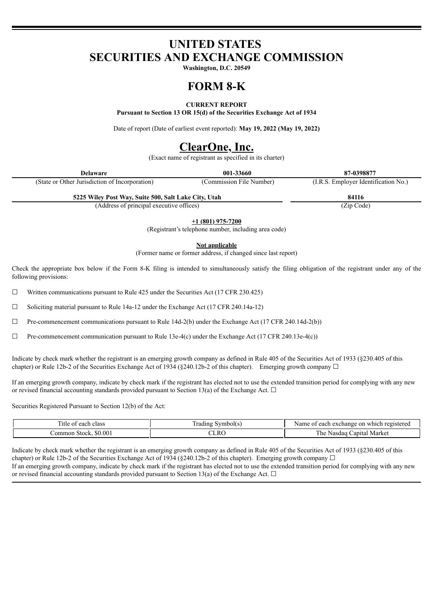# **UNITED STATES SECURITIES AND EXCHANGE COMMISSION**

**Washington, D.C. 20549**

# **FORM 8-K**

# **CURRENT REPORT**

**Pursuant to Section 13 OR 15(d) of the Securities Exchange Act of 1934**

Date of report (Date of earliest event reported): **May 19, 2022 (May 19, 2022)**

# **ClearOne, Inc.**

(Exact name of registrant as specified in its charter)

| Delaware                                       | 001-33660                | 87-0398877                           |
|------------------------------------------------|--------------------------|--------------------------------------|
| (State or Other Jurisdiction of Incorporation) | (Commission File Number) | (I.R.S. Employer Identification No.) |

**5225 Wiley Post Way, Suite 500, Salt Lake City, Utah 84116**

(Address of principal executive offices) (Zip Code)

**+1 (801) 975-7200**

(Registrant's telephone number, including area code)

**Not applicable**

(Former name or former address, if changed since last report)

Check the appropriate box below if the Form 8-K filing is intended to simultaneously satisfy the filing obligation of the registrant under any of the following provisions:

 $\Box$  Written communications pursuant to Rule 425 under the Securities Act (17 CFR 230.425)

☐ Soliciting material pursuant to Rule 14a-12 under the Exchange Act (17 CFR 240.14a-12)

☐ Pre-commencement communications pursuant to Rule 14d-2(b) under the Exchange Act (17 CFR 240.14d-2(b))

☐ Pre-commencement communication pursuant to Rule 13e-4(c) under the Exchange Act (17 CFR 240.13e-4(c))

Indicate by check mark whether the registrant is an emerging growth company as defined in Rule 405 of the Securities Act of 1933 (§230.405 of this chapter) or Rule 12b-2 of the Securities Exchange Act of 1934 (§240.12b-2 of this chapter). Emerging growth company  $\Box$ 

If an emerging growth company, indicate by check mark if the registrant has elected not to use the extended transition period for complying with any new or revised financial accounting standards provided pursuant to Section 13(a) of the Exchange Act.  $\Box$ 

Securities Registered Pursuant to Section 12(b) of the Act:

| $\sim$<br>class<br>ı∩h<br>ΩŤ<br>ш                  | -<br>- - - - | which<br>registe.<br>hano<br>each<br>-01<br>Name            |  |  |  |
|----------------------------------------------------|--------------|-------------------------------------------------------------|--|--|--|
| $.00\,$<br>.omm<br>$\sim$<br><b>AI</b><br>on<br>n. | .RC<br>$  -$ | r he<br>anıtal<br>Marke.<br>$\sim$<br>'Nas<br>`ua<br>$\sim$ |  |  |  |

Indicate by check mark whether the registrant is an emerging growth company as defined in Rule 405 of the Securities Act of 1933 (§230.405 of this chapter) or Rule 12b-2 of the Securities Exchange Act of 1934 (§240.12b-2 of this chapter). Emerging growth company  $\Box$ If an emerging growth company, indicate by check mark if the registrant has elected not to use the extended transition period for complying with any new or revised financial accounting standards provided pursuant to Section 13(a) of the Exchange Act.  $\Box$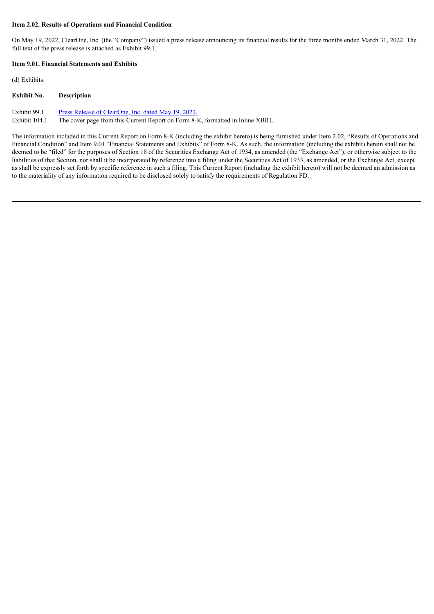#### **Item 2.02. Results of Operations and Financial Condition**

On May 19, 2022, ClearOne, Inc. (the "Company") issued a press release announcing its financial results for the three months ended March 31, 2022. The full text of the press release is attached as Exhibit 99.1.

### **Item 9.01. Financial Statements and Exhibits**

(d) Exhibits.

## **Exhibit No. Description**

Exhibit 99.1 Press Release of [ClearOne,](#page-3-0) Inc. dated May 19, 2022.

Exhibit 104.1 The cover page from this Current Report on Form 8-K, formatted in Inline XBRL.

The information included in this Current Report on Form 8-K (including the exhibit hereto) is being furnished under Item 2.02, "Results of Operations and Financial Condition" and Item 9.01 "Financial Statements and Exhibits" of Form 8-K. As such, the information (including the exhibit) herein shall not be deemed to be "filed" for the purposes of Section 18 of the Securities Exchange Act of 1934, as amended (the "Exchange Act"), or otherwise subject to the liabilities of that Section, nor shall it be incorporated by reference into a filing under the Securities Act of 1933, as amended, or the Exchange Act, except as shall be expressly set forth by specific reference in such a filing. This Current Report (including the exhibit hereto) will not be deemed an admission as to the materiality of any information required to be disclosed solely to satisfy the requirements of Regulation FD.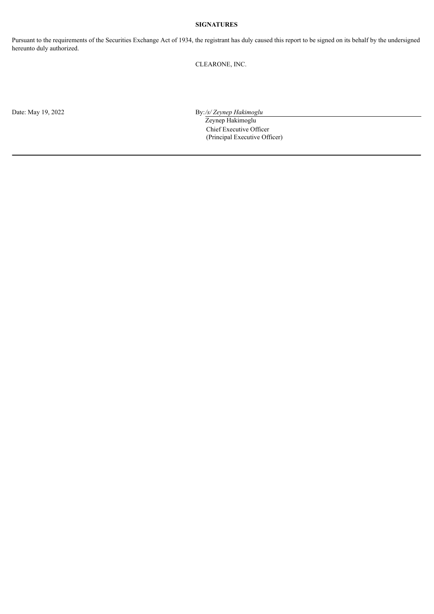# **SIGNATURES**

Pursuant to the requirements of the Securities Exchange Act of 1934, the registrant has duly caused this report to be signed on its behalf by the undersigned hereunto duly authorized.

CLEARONE, INC.

Date: May 19, 2022 By:/s/ *Zeynep Hakimoglu* 

Zeynep Hakimoglu Chief Executive Officer (Principal Executive Officer)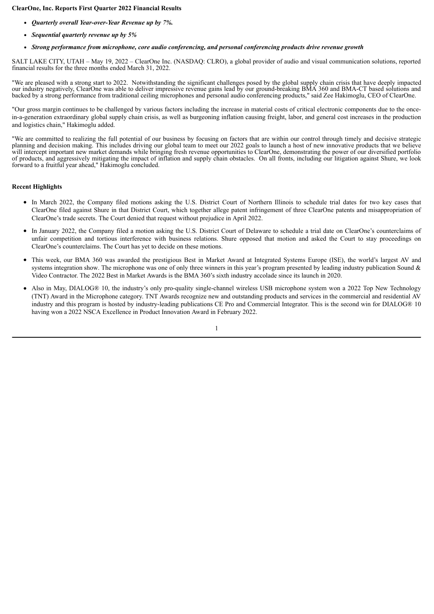### <span id="page-3-0"></span>**ClearOne, Inc. Reports First Quarter 2022 Financial Results**

- *Quarterly overall Year-over-Year Revenue up by 7%.*
- *Sequential quarterly revenue up by 5%*
- *Strong performance from microphone, core audio conferencing, and personal conferencing products drive revenue growth*

SALT LAKE CITY, UTAH – May 19, 2022 – ClearOne Inc. (NASDAQ: CLRO), a global provider of audio and visual communication solutions, reported financial results for the three months ended March 31, 2022.

"We are pleased with a strong start to 2022. Notwithstanding the significant challenges posed by the global supply chain crisis that have deeply impacted our industry negatively, ClearOne was able to deliver impressive revenue gains lead by our ground-breaking BMA 360 and BMA-CT based solutions and backed by a strong performance from traditional ceiling microphones and personal audio conferencing products," said Zee Hakimoglu, CEO of ClearOne.

"Our gross margin continues to be challenged by various factors including the increase in material costs of critical electronic components due to the oncein-a-generation extraordinary global supply chain crisis, as well as burgeoning inflation causing freight, labor, and general cost increases in the production and logistics chain," Hakimoglu added.

"We are committed to realizing the full potential of our business by focusing on factors that are within our control through timely and decisive strategic planning and decision making. This includes driving our global team to meet our 2022 goals to launch a host of new innovative products that we believe will intercept important new market demands while bringing fresh revenue opportunities to ClearOne, demonstrating the power of our diversified portfolio of products, and aggressively mitigating the impact of inflation and supply chain obstacles. On all fronts, including our litigation against Shure, we look forward to a fruitful year ahead," Hakimoglu concluded.

#### **Recent Highlights**

- In March 2022, the Company filed motions asking the U.S. District Court of Northern Illinois to schedule trial dates for two key cases that ClearOne filed against Shure in that District Court, which together allege patent infringement of three ClearOne patents and misappropriation of ClearOne's trade secrets. The Court denied that request without prejudice in April 2022.
- In January 2022, the Company filed a motion asking the U.S. District Court of Delaware to schedule a trial date on ClearOne's counterclaims of unfair competition and tortious interference with business relations. Shure opposed that motion and asked the Court to stay proceedings on ClearOne's counterclaims. The Court has yet to decide on these motions.
- This week, our BMA 360 was awarded the prestigious Best in Market Award at Integrated Systems Europe (ISE), the world's largest AV and systems integration show. The microphone was one of only three winners in this year's program presented by leading industry publication Sound  $\&$ Video Contractor. The 2022 Best in Market Awards is the BMA 360's sixth industry accolade since its launch in 2020.
- Also in May, DIALOG® 10, the industry's only pro-quality single-channel wireless USB microphone system won a 2022 Top New Technology (TNT) Award in the Microphone category. TNT Awards recognize new and outstanding products and services in the commercial and residential AV industry and this program is hosted by industry-leading publications CE Pro and Commercial Integrator. This is the second win for DIALOG® 10 having won a 2022 NSCA Excellence in Product Innovation Award in February 2022.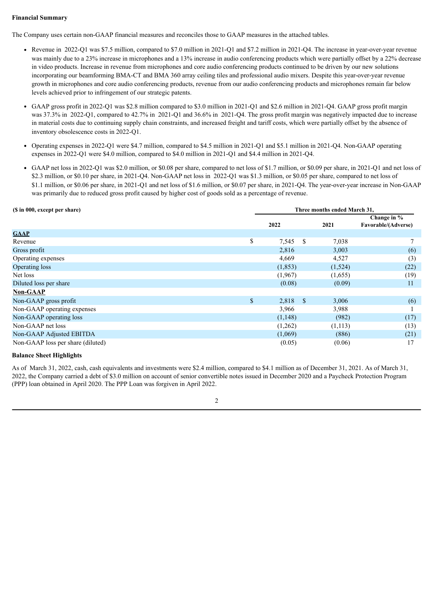# **Financial Summary**

The Company uses certain non-GAAP financial measures and reconciles those to GAAP measures in the attached tables.

- Revenue in 2022-Q1 was \$7.5 million, compared to \$7.0 million in 2021-Q1 and \$7.2 million in 2021-Q4. The increase in year-over-year revenue was mainly due to a 23% increase in microphones and a 13% increase in audio conferencing products which were partially offset by a 22% decrease in video products. Increase in revenue from microphones and core audio conferencing products continued to be driven by our new solutions incorporating our beamforming BMA-CT and BMA 360 array ceiling tiles and professional audio mixers. Despite this year-over-year revenue growth in microphones and core audio conferencing products, revenue from our audio conferencing products and microphones remain far below levels achieved prior to infringement of our strategic patents.
- GAAP gross profit in 2022-Q1 was \$2.8 million compared to \$3.0 million in 2021-Q1 and \$2.6 million in 2021-Q4. GAAP gross profit margin was 37.3% in 2022-Q1, compared to 42.7% in 2021-Q1 and 36.6% in 2021-Q4. The gross profit margin was negatively impacted due to increase in material costs due to continuing supply chain constraints, and increased freight and tariff costs, which were partially offset by the absence of inventory obsolescence costs in 2022-Q1.
- Operating expenses in 2022-Q1 were \$4.7 million, compared to \$4.5 million in 2021-Q1 and \$5.1 million in 2021-Q4. Non-GAAP operating  $\bullet$ expenses in 2022-Q1 were \$4.0 million, compared to \$4.0 million in 2021-Q1 and \$4.4 million in 2021-Q4.
- GAAP net loss in 2022-Q1 was \$2.0 million, or \$0.08 per share, compared to net loss of \$1.7 million, or \$0.09 per share, in 2021-Q1 and net loss of \$2.3 million, or \$0.10 per share, in 2021-O4. Non-GAAP net loss in 2022-O1 was \$1.3 million, or \$0.05 per share, compared to net loss of \$1.1 million, or \$0.06 per share, in 2021-Q1 and net loss of \$1.6 million, or \$0.07 per share, in 2021-Q4. The year-over-year increase in Non-GAAP was primarily due to reduced gross profit caused by higher cost of goods sold as a percentage of revenue.

| (\$ in 000, except per share)     |              | Three months ended March 31, |               |         |                                    |  |
|-----------------------------------|--------------|------------------------------|---------------|---------|------------------------------------|--|
|                                   |              | 2022                         |               | 2021    | Change in %<br>Favorable/(Adverse) |  |
| <b>GAAP</b>                       |              |                              |               |         |                                    |  |
| Revenue                           | \$           | 7,545                        | S             | 7,038   | 7                                  |  |
| Gross profit                      |              | 2,816                        |               | 3,003   | (6)                                |  |
| Operating expenses                |              | 4,669                        |               | 4,527   | (3)                                |  |
| Operating loss                    |              | (1, 853)                     |               | (1,524) | (22)                               |  |
| Net loss                          |              | (1,967)                      |               | (1,655) | (19)                               |  |
| Diluted loss per share            |              | (0.08)                       |               | (0.09)  | 11                                 |  |
| <b>Non-GAAP</b>                   |              |                              |               |         |                                    |  |
| Non-GAAP gross profit             | $\mathbb{S}$ | 2,818                        | <sup>\$</sup> | 3,006   | (6)                                |  |
| Non-GAAP operating expenses       |              | 3,966                        |               | 3,988   |                                    |  |
| Non-GAAP operating loss           |              | (1,148)                      |               | (982)   | (17)                               |  |
| Non-GAAP net loss                 |              | (1,262)                      |               | (1,113) | (13)                               |  |
| Non-GAAP Adjusted EBITDA          |              | (1,069)                      |               | (886)   | (21)                               |  |
| Non-GAAP loss per share (diluted) |              | (0.05)                       |               | (0.06)  | 17                                 |  |

# **Balance Sheet Highlights**

As of March 31, 2022, cash, cash equivalents and investments were \$2.4 million, compared to \$4.1 million as of December 31, 2021. As of March 31, 2022, the Company carried a debt of \$3.0 million on account of senior convertible notes issued in December 2020 and a Paycheck Protection Program (PPP) loan obtained in April 2020. The PPP Loan was forgiven in April 2022.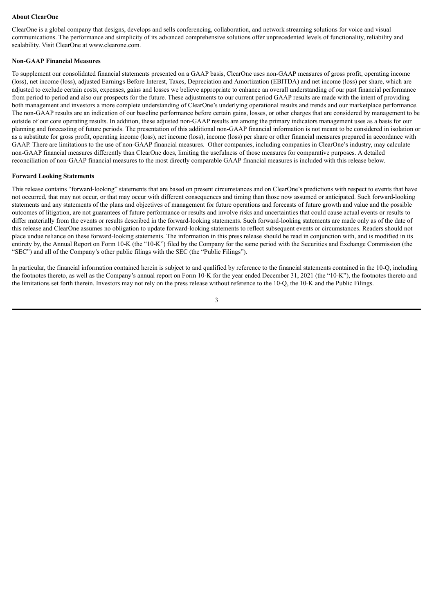#### **About ClearOne**

ClearOne is a global company that designs, develops and sells conferencing, collaboration, and network streaming solutions for voice and visual communications. The performance and simplicity of its advanced comprehensive solutions offer unprecedented levels of functionality, reliability and scalability. Visit ClearOne at www.clearone.com.

#### **Non-GAAP Financial Measures**

To supplement our consolidated financial statements presented on a GAAP basis, ClearOne uses non-GAAP measures of gross profit, operating income (loss), net income (loss), adjusted Earnings Before Interest, Taxes, Depreciation and Amortization (EBITDA) and net income (loss) per share, which are adjusted to exclude certain costs, expenses, gains and losses we believe appropriate to enhance an overall understanding of our past financial performance from period to period and also our prospects for the future. These adjustments to our current period GAAP results are made with the intent of providing both management and investors a more complete understanding of ClearOne's underlying operational results and trends and our marketplace performance. The non-GAAP results are an indication of our baseline performance before certain gains, losses, or other charges that are considered by management to be outside of our core operating results. In addition, these adjusted non-GAAP results are among the primary indicators management uses as a basis for our planning and forecasting of future periods. The presentation of this additional non-GAAP financial information is not meant to be considered in isolation or as a substitute for gross profit, operating income (loss), net income (loss), income (loss) per share or other financial measures prepared in accordance with GAAP. There are limitations to the use of non-GAAP financial measures. Other companies, including companies in ClearOne's industry, may calculate non-GAAP financial measures differently than ClearOne does, limiting the usefulness of those measures for comparative purposes. A detailed reconciliation of non-GAAP financial measures to the most directly comparable GAAP financial measures is included with this release below.

### **Forward Looking Statements**

This release contains "forward-looking" statements that are based on present circumstances and on ClearOne's predictions with respect to events that have not occurred, that may not occur, or that may occur with different consequences and timing than those now assumed or anticipated. Such forward-looking statements and any statements of the plans and objectives of management for future operations and forecasts of future growth and value and the possible outcomes of litigation, are not guarantees of future performance or results and involve risks and uncertainties that could cause actual events or results to differ materially from the events or results described in the forward-looking statements. Such forward-looking statements are made only as of the date of this release and ClearOne assumes no obligation to update forward-looking statements to reflect subsequent events or circumstances. Readers should not place undue reliance on these forward-looking statements. The information in this press release should be read in conjunction with, and is modified in its entirety by, the Annual Report on Form 10-K (the "10-K") filed by the Company for the same period with the Securities and Exchange Commission (the "SEC") and all of the Company's other public filings with the SEC (the "Public Filings").

In particular, the financial information contained herein is subject to and qualified by reference to the financial statements contained in the 10-Q, including the footnotes thereto, as well as the Company's annual report on Form 10-K for the year ended December 31, 2021 (the "10-K"), the footnotes thereto and the limitations set forth therein. Investors may not rely on the press release without reference to the 10-Q, the 10-K and the Public Filings.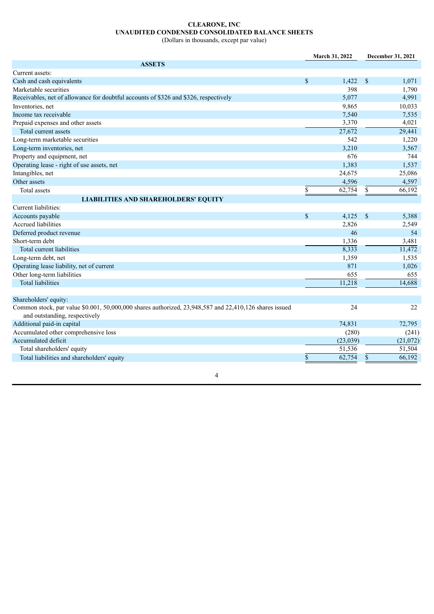# **CLEARONE, INC UNAUDITED CONDENSED CONSOLIDATED BALANCE SHEETS**

(Dollars in thousands, except par value)

| <b>ASSETS</b>                                                                                                                                 |          |
|-----------------------------------------------------------------------------------------------------------------------------------------------|----------|
|                                                                                                                                               |          |
| Current assets:                                                                                                                               |          |
| Cash and cash equivalents<br>\$<br>1,422<br>$\mathcal{S}$                                                                                     | 1,071    |
| Marketable securities<br>398                                                                                                                  | 1,790    |
| Receivables, net of allowance for doubtful accounts of \$326 and \$326, respectively<br>5,077                                                 | 4,991    |
| Inventories, net<br>9,865                                                                                                                     | 10,033   |
| Income tax receivable<br>7,540                                                                                                                | 7,535    |
| 3,370<br>Prepaid expenses and other assets                                                                                                    | 4,021    |
| 27,672<br>Total current assets                                                                                                                | 29,441   |
| Long-term marketable securities<br>542                                                                                                        | 1,220    |
| Long-term inventories, net<br>3,210                                                                                                           | 3,567    |
| Property and equipment, net<br>676                                                                                                            | 744      |
| Operating lease - right of use assets, net<br>1,383                                                                                           | 1,537    |
| Intangibles, net<br>24,675                                                                                                                    | 25,086   |
| Other assets<br>4,596                                                                                                                         | 4,597    |
| \$<br>62,754<br>\$<br>Total assets                                                                                                            | 66,192   |
| <b>LIABILITIES AND SHAREHOLDERS' EQUITY</b>                                                                                                   |          |
| Current liabilities:                                                                                                                          |          |
| \$<br>Accounts payable<br>4,125<br>$\mathbb{S}$                                                                                               | 5,388    |
| <b>Accrued liabilities</b><br>2,826                                                                                                           | 2,549    |
| Deferred product revenue<br>46                                                                                                                | 54       |
| Short-term debt<br>1,336                                                                                                                      | 3,481    |
| 8,333<br>Total current liabilities                                                                                                            | 11,472   |
| Long-term debt, net<br>1,359                                                                                                                  | 1,535    |
| 871<br>Operating lease liability, net of current                                                                                              | 1,026    |
| Other long-term liabilities<br>655                                                                                                            | 655      |
| 11,218<br><b>Total liabilities</b>                                                                                                            | 14,688   |
|                                                                                                                                               |          |
| Shareholders' equity:                                                                                                                         |          |
| Common stock, par value \$0.001, 50,000,000 shares authorized, 23,948,587 and 22,410,126 shares issued<br>24<br>and outstanding, respectively | 22       |
| Additional paid-in capital<br>74,831                                                                                                          | 72,795   |
| Accumulated other comprehensive loss<br>(280)                                                                                                 | (241)    |
| Accumulated deficit<br>(23,039)                                                                                                               | (21,072) |
| 51,536<br>Total shareholders' equity                                                                                                          | 51,504   |
| $\overline{\$}$<br>62,754<br>$\mathbb{S}$<br>Total liabilities and shareholders' equity                                                       | 66,192   |
|                                                                                                                                               |          |

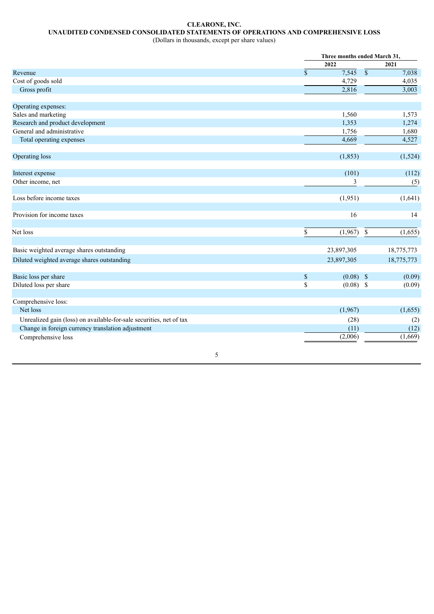# **CLEARONE, INC. UNAUDITED CONDENSED CONSOLIDATED STATEMENTS OF OPERATIONS AND COMPREHENSIVE LOSS**

(Dollars in thousands, except per share values)

|                                                                     |                    | Three months ended March 31, |                 |            |
|---------------------------------------------------------------------|--------------------|------------------------------|-----------------|------------|
|                                                                     |                    | 2022                         |                 | 2021       |
| Revenue                                                             | $\mathbf{\hat{S}}$ | 7,545                        | $\overline{\$}$ | 7,038      |
| Cost of goods sold                                                  |                    | 4,729                        |                 | 4,035      |
| Gross profit                                                        |                    | 2,816                        |                 | 3,003      |
| Operating expenses:                                                 |                    |                              |                 |            |
| Sales and marketing                                                 |                    | 1,560                        |                 | 1,573      |
| Research and product development                                    |                    | 1,353                        |                 | 1,274      |
| General and administrative                                          |                    | 1,756                        |                 | 1,680      |
| Total operating expenses                                            |                    | 4,669                        |                 | 4,527      |
| Operating loss                                                      |                    | (1, 853)                     |                 | (1,524)    |
| Interest expense                                                    |                    | (101)                        |                 | (112)      |
| Other income, net                                                   |                    | 3                            |                 | (5)        |
| Loss before income taxes                                            |                    | (1,951)                      |                 | (1,641)    |
| Provision for income taxes                                          |                    | 16                           |                 | 14         |
| Net loss                                                            | $\$$               | (1,967)                      | \$              | (1,655)    |
| Basic weighted average shares outstanding                           |                    | 23,897,305                   |                 | 18,775,773 |
| Diluted weighted average shares outstanding                         |                    | 23,897,305                   |                 | 18,775,773 |
| Basic loss per share                                                | $\$$               | $(0.08)$ \$                  |                 | (0.09)     |
| Diluted loss per share                                              | \$                 | $(0.08)$ \$                  |                 | (0.09)     |
| Comprehensive loss:                                                 |                    |                              |                 |            |
| Net loss                                                            |                    | (1,967)                      |                 | (1,655)    |
| Unrealized gain (loss) on available-for-sale securities, net of tax |                    | (28)                         |                 | (2)        |
| Change in foreign currency translation adjustment                   |                    | (11)                         |                 | (12)       |
| Comprehensive loss                                                  |                    | (2,006)                      |                 | (1,669)    |